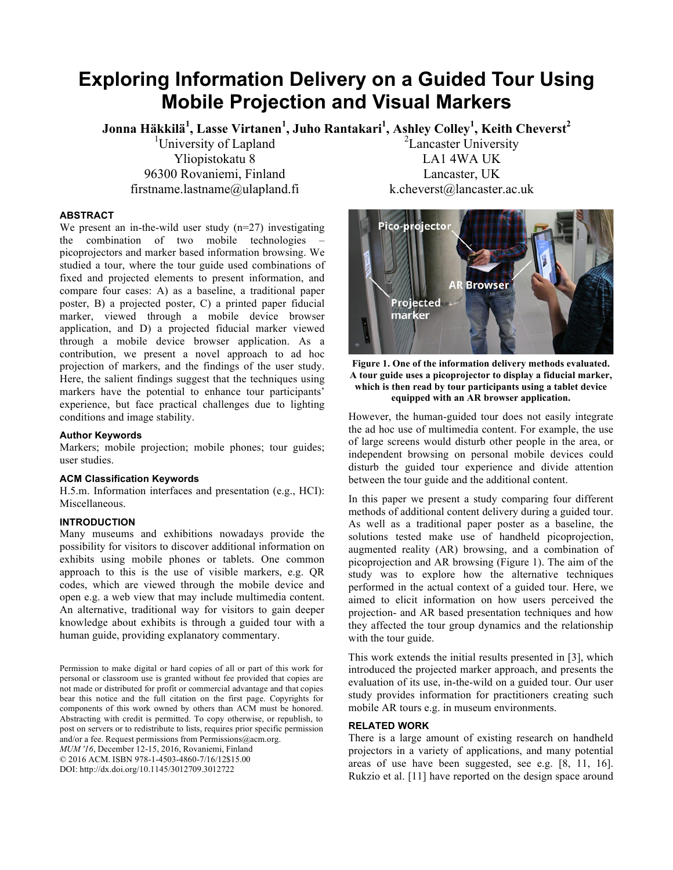# **Exploring Information Delivery on a Guided Tour Using Mobile Projection and Visual Markers**

**Jonna Häkkilä<sup>1</sup> , Lasse Virtanen<sup>1</sup> , Juho Rantakari<sup>1</sup> , Ashley Colley1 , Keith Cheverst2** 

<sup>1</sup>University of Lapland Yliopistokatu 8 96300 Rovaniemi, Finland firstname.lastname@ulapland.fi

## **ABSTRACT**

We present an in-the-wild user study  $(n=27)$  investigating the combination of two mobile technologies – picoprojectors and marker based information browsing. We studied a tour, where the tour guide used combinations of fixed and projected elements to present information, and compare four cases: A) as a baseline, a traditional paper poster, B) a projected poster, C) a printed paper fiducial marker, viewed through a mobile device browser application, and D) a projected fiducial marker viewed through a mobile device browser application. As a contribution, we present a novel approach to ad hoc projection of markers, and the findings of the user study. Here, the salient findings suggest that the techniques using markers have the potential to enhance tour participants' experience, but face practical challenges due to lighting conditions and image stability.

## **Author Keywords**

Markers; mobile projection; mobile phones; tour guides; user studies.

## **ACM Classification Keywords**

H.5.m. Information interfaces and presentation (e.g., HCI): Miscellaneous.

## **INTRODUCTION**

Many museums and exhibitions nowadays provide the possibility for visitors to discover additional information on exhibits using mobile phones or tablets. One common approach to this is the use of visible markers, e.g. QR codes, which are viewed through the mobile device and open e.g. a web view that may include multimedia content. An alternative, traditional way for visitors to gain deeper knowledge about exhibits is through a guided tour with a human guide, providing explanatory commentary.

Permission to make digital or hard copies of all or part of this work for personal or classroom use is granted without fee provided that copies are not made or distributed for profit or commercial advantage and that copies bear this notice and the full citation on the first page. Copyrights for components of this work owned by others than ACM must be honored. Abstracting with credit is permitted. To copy otherwise, or republish, to post on servers or to redistribute to lists, requires prior specific permission and/or a fee. Request permissions from Permissions@acm.org. *MUM '16*, December 12-15, 2016, Rovaniemi, Finland © 2016 ACM. ISBN 978-1-4503-4860-7/16/12\$15.00

DOI: http://dx.doi.org/10.1145/3012709.3012722

<sup>2</sup>Lancaster University LA1 4WA UK Lancaster, UK k.cheverst@lancaster.ac.uk



**Figure 1. One of the information delivery methods evaluated. A tour guide uses a picoprojector to display a fiducial marker, which is then read by tour participants using a tablet device equipped with an AR browser application.**

However, the human-guided tour does not easily integrate the ad hoc use of multimedia content. For example, the use of large screens would disturb other people in the area, or independent browsing on personal mobile devices could disturb the guided tour experience and divide attention between the tour guide and the additional content.

In this paper we present a study comparing four different methods of additional content delivery during a guided tour. As well as a traditional paper poster as a baseline, the solutions tested make use of handheld picoprojection, augmented reality (AR) browsing, and a combination of picoprojection and AR browsing (Figure 1). The aim of the study was to explore how the alternative techniques performed in the actual context of a guided tour. Here, we aimed to elicit information on how users perceived the projection- and AR based presentation techniques and how they affected the tour group dynamics and the relationship with the tour guide.

This work extends the initial results presented in [3], which introduced the projected marker approach, and presents the evaluation of its use, in-the-wild on a guided tour. Our user study provides information for practitioners creating such mobile AR tours e.g. in museum environments.

## **RELATED WORK**

There is a large amount of existing research on handheld projectors in a variety of applications, and many potential areas of use have been suggested, see e.g. [8, 11, 16]. Rukzio et al. [11] have reported on the design space around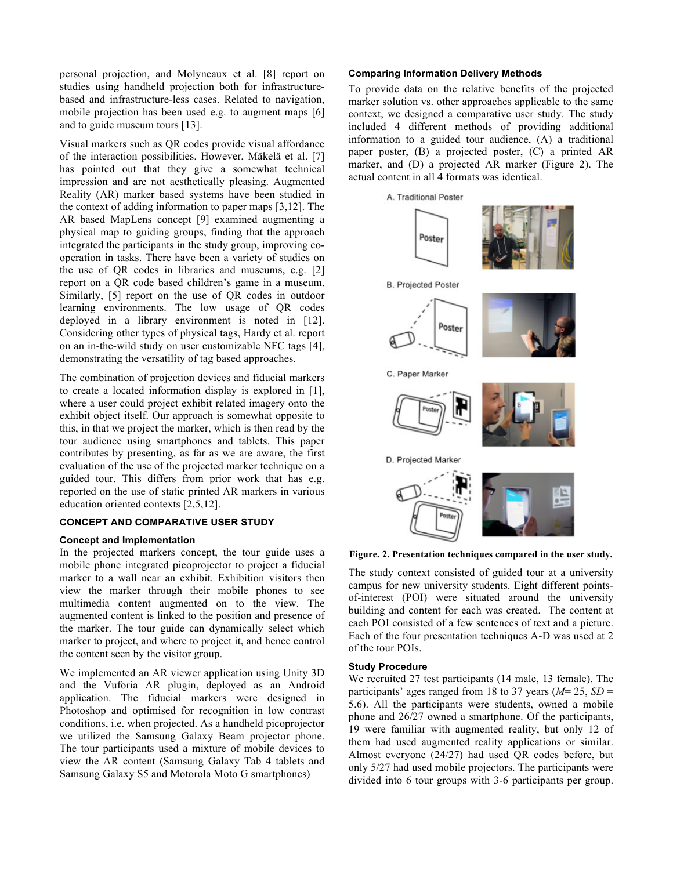personal projection, and Molyneaux et al. [8] report on studies using handheld projection both for infrastructurebased and infrastructure-less cases. Related to navigation, mobile projection has been used e.g. to augment maps [6] and to guide museum tours [13].

Visual markers such as QR codes provide visual affordance of the interaction possibilities. However, Mäkelä et al. [7] has pointed out that they give a somewhat technical impression and are not aesthetically pleasing. Augmented Reality (AR) marker based systems have been studied in the context of adding information to paper maps [3,12]. The AR based MapLens concept [9] examined augmenting a physical map to guiding groups, finding that the approach integrated the participants in the study group, improving cooperation in tasks. There have been a variety of studies on the use of QR codes in libraries and museums, e.g. [2] report on a QR code based children's game in a museum. Similarly, [5] report on the use of QR codes in outdoor learning environments. The low usage of QR codes deployed in a library environment is noted in [12]. Considering other types of physical tags, Hardy et al. report on an in-the-wild study on user customizable NFC tags [4], demonstrating the versatility of tag based approaches.

The combination of projection devices and fiducial markers to create a located information display is explored in [1], where a user could project exhibit related imagery onto the exhibit object itself. Our approach is somewhat opposite to this, in that we project the marker, which is then read by the tour audience using smartphones and tablets. This paper contributes by presenting, as far as we are aware, the first evaluation of the use of the projected marker technique on a guided tour. This differs from prior work that has e.g. reported on the use of static printed AR markers in various education oriented contexts [2,5,12].

### **CONCEPT AND COMPARATIVE USER STUDY**

### **Concept and Implementation**

In the projected markers concept, the tour guide uses a mobile phone integrated picoprojector to project a fiducial marker to a wall near an exhibit. Exhibition visitors then view the marker through their mobile phones to see multimedia content augmented on to the view. The augmented content is linked to the position and presence of the marker. The tour guide can dynamically select which marker to project, and where to project it, and hence control the content seen by the visitor group.

We implemented an AR viewer application using Unity 3D and the Vuforia AR plugin, deployed as an Android application. The fiducial markers were designed in Photoshop and optimised for recognition in low contrast conditions, i.e. when projected. As a handheld picoprojector we utilized the Samsung Galaxy Beam projector phone. The tour participants used a mixture of mobile devices to view the AR content (Samsung Galaxy Tab 4 tablets and Samsung Galaxy S5 and Motorola Moto G smartphones)

### **Comparing Information Delivery Methods**

To provide data on the relative benefits of the projected marker solution vs. other approaches applicable to the same context, we designed a comparative user study. The study included 4 different methods of providing additional information to a guided tour audience, (A) a traditional paper poster, (B) a projected poster, (C) a printed AR marker, and (D) a projected AR marker (Figure 2). The actual content in all 4 formats was identical.



**Figure. 2. Presentation techniques compared in the user study.**

The study context consisted of guided tour at a university campus for new university students. Eight different pointsof-interest (POI) were situated around the university building and content for each was created. The content at each POI consisted of a few sentences of text and a picture. Each of the four presentation techniques A-D was used at 2 of the tour POIs.

## **Study Procedure**

We recruited 27 test participants (14 male, 13 female). The participants' ages ranged from 18 to 37 years (*M*= 25, *SD* = 5.6). All the participants were students, owned a mobile phone and 26/27 owned a smartphone. Of the participants, 19 were familiar with augmented reality, but only 12 of them had used augmented reality applications or similar. Almost everyone (24/27) had used QR codes before, but only 5/27 had used mobile projectors. The participants were divided into 6 tour groups with 3-6 participants per group.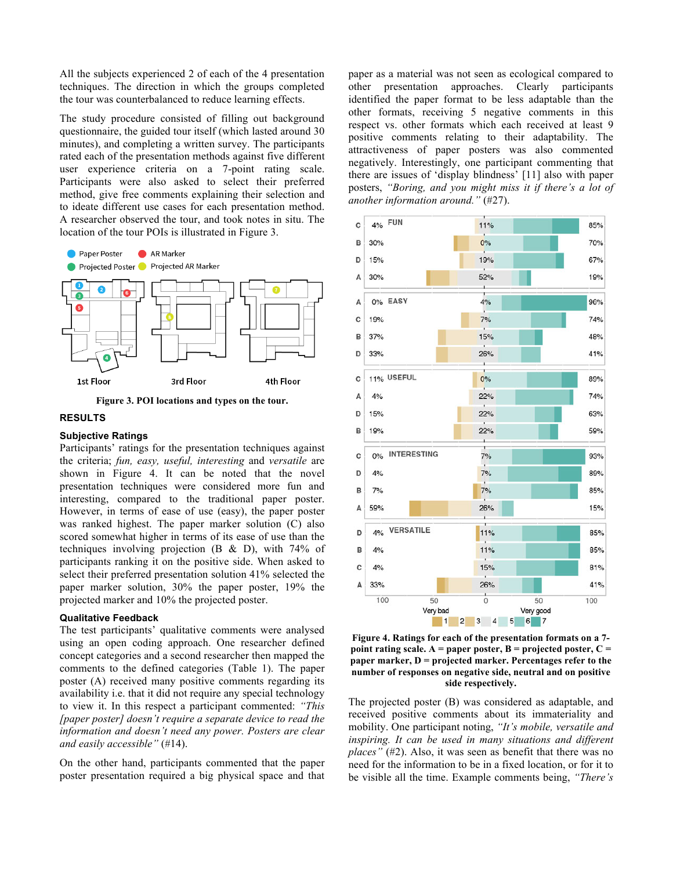All the subjects experienced 2 of each of the 4 presentation techniques. The direction in which the groups completed the tour was counterbalanced to reduce learning effects.

The study procedure consisted of filling out background questionnaire, the guided tour itself (which lasted around 30 minutes), and completing a written survey. The participants rated each of the presentation methods against five different user experience criteria on a 7-point rating scale. Participants were also asked to select their preferred method, give free comments explaining their selection and to ideate different use cases for each presentation method. A researcher observed the tour, and took notes in situ. The location of the tour POIs is illustrated in Figure 3.



**Figure 3. POI locations and types on the tour.**

## **RESULTS**

#### **Subjective Ratings**

Participants' ratings for the presentation techniques against the criteria; *fun, easy, useful, interesting* and *versatile* are shown in Figure 4. It can be noted that the novel presentation techniques were considered more fun and interesting, compared to the traditional paper poster. However, in terms of ease of use (easy), the paper poster was ranked highest. The paper marker solution (C) also scored somewhat higher in terms of its ease of use than the techniques involving projection (B & D), with 74% of participants ranking it on the positive side. When asked to select their preferred presentation solution 41% selected the paper marker solution, 30% the paper poster, 19% the projected marker and 10% the projected poster.

#### **Qualitative Feedback**

The test participants' qualitative comments were analysed using an open coding approach. One researcher defined concept categories and a second researcher then mapped the comments to the defined categories (Table 1). The paper poster (A) received many positive comments regarding its availability i.e. that it did not require any special technology to view it. In this respect a participant commented: *"This [paper poster] doesn't require a separate device to read the information and doesn't need any power. Posters are clear and easily accessible"* (#14).

On the other hand, participants commented that the paper poster presentation required a big physical space and that paper as a material was not seen as ecological compared to other presentation approaches. Clearly participants identified the paper format to be less adaptable than the other formats, receiving 5 negative comments in this respect vs. other formats which each received at least 9 positive comments relating to their adaptability. The attractiveness of paper posters was also commented negatively. Interestingly, one participant commenting that there are issues of 'display blindness' [11] also with paper posters, *"Boring, and you might miss it if there's a lot of another information around."* (#27).



**Figure 4. Ratings for each of the presentation formats on a 7 point rating scale. A = paper poster, B = projected poster, C = paper marker, D = projected marker. Percentages refer to the number of responses on negative side, neutral and on positive side respectively.**

The projected poster (B) was considered as adaptable, and received positive comments about its immateriality and mobility. One participant noting, *"It's mobile, versatile and inspiring. It can be used in many situations and different places"* (#2). Also, it was seen as benefit that there was no need for the information to be in a fixed location, or for it to be visible all the time. Example comments being, *"There's*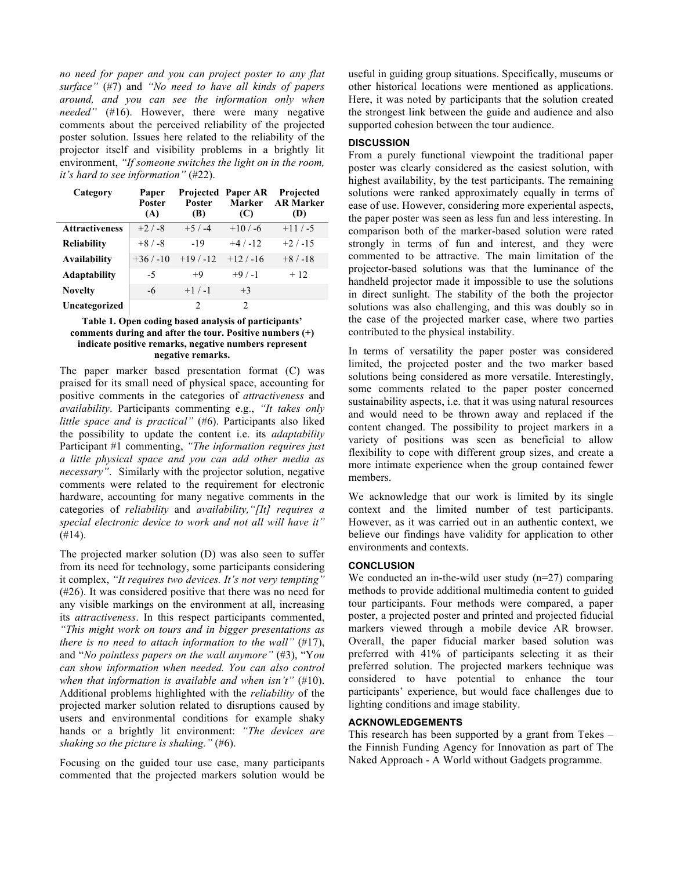*no need for paper and you can project poster to any flat surface"* (#7) and *"No need to have all kinds of papers around, and you can see the information only when needed"* (#16). However, there were many negative comments about the perceived reliability of the projected poster solution. Issues here related to the reliability of the projector itself and visibility problems in a brightly lit environment, *"If someone switches the light on in the room, it's hard to see information"* (#22).

| Category              | Paper<br>Poster<br>(A) | <b>Poster</b><br>(B) | <b>Projected Paper AR</b><br>Marker<br>(C) | Projected<br><b>AR Marker</b><br>(D) |
|-----------------------|------------------------|----------------------|--------------------------------------------|--------------------------------------|
| <b>Attractiveness</b> | $+2/ -8$               | $+5/ -4$             | $+10/ -6$                                  | $+11/ -5$                            |
| <b>Reliability</b>    | $+8/ -8$               | $-19$                | $+4/ -12$                                  | $+2/ -15$                            |
| <b>Availability</b>   | $+36/ -10$             | $+19/ -12$           | $+12/ -16$                                 | $+8/ -18$                            |
| <b>Adaptability</b>   | -5                     | $+9$                 | $+9/ -1$                                   | $+12$                                |
| <b>Novelty</b>        | -6                     | $+1/ -1$             | $+3$                                       |                                      |
| Uncategorized         |                        | $\mathcal{D}$        | 2                                          |                                      |

## **Table 1. Open coding based analysis of participants' comments during and after the tour. Positive numbers (+) indicate positive remarks, negative numbers represent negative remarks.**

The paper marker based presentation format (C) was praised for its small need of physical space, accounting for positive comments in the categories of *attractiveness* and *availability*. Participants commenting e.g., *"It takes only little space and is practical"* (#6). Participants also liked the possibility to update the content i.e. its *adaptability* Participant #1 commenting, *"The information requires just a little physical space and you can add other media as necessary"*. Similarly with the projector solution, negative comments were related to the requirement for electronic hardware, accounting for many negative comments in the categories of *reliability* and *availability,"[It] requires a special electronic device to work and not all will have it"*  $(#14).$ 

The projected marker solution (D) was also seen to suffer from its need for technology, some participants considering it complex, *"It requires two devices. It's not very tempting"* (#26). It was considered positive that there was no need for any visible markings on the environment at all, increasing its *attractiveness*. In this respect participants commented, *"This might work on tours and in bigger presentations as there is no need to attach information to the wall"* (#17), and "*No pointless papers on the wall anymore"* (#3), "Y*ou can show information when needed. You can also control when that information is available and when isn't"* (#10). Additional problems highlighted with the *reliability* of the projected marker solution related to disruptions caused by users and environmental conditions for example shaky hands or a brightly lit environment: *"The devices are shaking so the picture is shaking."* (#6).

Focusing on the guided tour use case, many participants commented that the projected markers solution would be useful in guiding group situations. Specifically, museums or other historical locations were mentioned as applications. Here, it was noted by participants that the solution created the strongest link between the guide and audience and also supported cohesion between the tour audience.

# **DISCUSSION**

From a purely functional viewpoint the traditional paper poster was clearly considered as the easiest solution, with highest availability, by the test participants. The remaining solutions were ranked approximately equally in terms of ease of use. However, considering more experiental aspects, the paper poster was seen as less fun and less interesting. In comparison both of the marker-based solution were rated strongly in terms of fun and interest, and they were commented to be attractive. The main limitation of the projector-based solutions was that the luminance of the handheld projector made it impossible to use the solutions in direct sunlight. The stability of the both the projector solutions was also challenging, and this was doubly so in the case of the projected marker case, where two parties contributed to the physical instability.

In terms of versatility the paper poster was considered limited, the projected poster and the two marker based solutions being considered as more versatile. Interestingly, some comments related to the paper poster concerned sustainability aspects, i.e. that it was using natural resources and would need to be thrown away and replaced if the content changed. The possibility to project markers in a variety of positions was seen as beneficial to allow flexibility to cope with different group sizes, and create a more intimate experience when the group contained fewer members.

We acknowledge that our work is limited by its single context and the limited number of test participants. However, as it was carried out in an authentic context, we believe our findings have validity for application to other environments and contexts.

## **CONCLUSION**

We conducted an in-the-wild user study  $(n=27)$  comparing methods to provide additional multimedia content to guided tour participants. Four methods were compared, a paper poster, a projected poster and printed and projected fiducial markers viewed through a mobile device AR browser. Overall, the paper fiducial marker based solution was preferred with 41% of participants selecting it as their preferred solution. The projected markers technique was considered to have potential to enhance the tour participants' experience, but would face challenges due to lighting conditions and image stability.

## **ACKNOWLEDGEMENTS**

This research has been supported by a grant from Tekes – the Finnish Funding Agency for Innovation as part of The Naked Approach - A World without Gadgets programme.